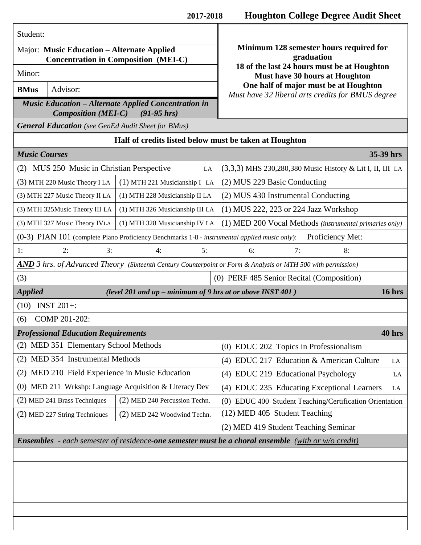| Student:                                                                                                          |                                 | Minimum 128 semester hours required for<br>graduation<br>18 of the last 24 hours must be at Houghton<br>Must have 30 hours at Houghton<br>One half of major must be at Houghton<br>Must have 32 liberal arts credits for BMUS degree |
|-------------------------------------------------------------------------------------------------------------------|---------------------------------|--------------------------------------------------------------------------------------------------------------------------------------------------------------------------------------------------------------------------------------|
| Major: Music Education - Alternate Applied<br><b>Concentration in Composition (MEI-C)</b>                         |                                 |                                                                                                                                                                                                                                      |
| Minor:                                                                                                            |                                 |                                                                                                                                                                                                                                      |
| Advisor:<br><b>BMus</b>                                                                                           |                                 |                                                                                                                                                                                                                                      |
| <b>Music Education – Alternate Applied Concentration in</b><br><b>Composition (MEI-C)</b><br>$(91-95)$ hrs)       |                                 |                                                                                                                                                                                                                                      |
| <b>General Education</b> (see GenEd Audit Sheet for BMus)                                                         |                                 |                                                                                                                                                                                                                                      |
| Half of credits listed below must be taken at Houghton                                                            |                                 |                                                                                                                                                                                                                                      |
| <b>Music Courses</b>                                                                                              |                                 | 35-39 hrs                                                                                                                                                                                                                            |
| MUS 250 Music in Christian Perspective<br>(2)<br>LA                                                               |                                 | (3,3,3) MHS 230,280,380 Music History & Lit I, II, III LA                                                                                                                                                                            |
| (3) MTH 220 Music Theory I LA                                                                                     | (1) MTH 221 Musicianship I LA   | (2) MUS 229 Basic Conducting                                                                                                                                                                                                         |
| (3) MTH 227 Music Theory II LA                                                                                    | (1) MTH 228 Musicianship II LA  | (2) MUS 430 Instrumental Conducting                                                                                                                                                                                                  |
| (3) MTH 325Music Theory III LA                                                                                    | (1) MTH 326 Musicianship III LA | (1) MUS 222, 223 or 224 Jazz Workshop                                                                                                                                                                                                |
| (3) MTH 327 Music Theory IVLA                                                                                     | (1) MTH 328 Musicianship IV LA  | (1) MED 200 Vocal Methods (instrumental primaries only)                                                                                                                                                                              |
| Proficiency Met:<br>(0-3) PIAN 101 (complete Piano Proficiency Benchmarks 1-8 - instrumental applied music only): |                                 |                                                                                                                                                                                                                                      |
| 2:<br>3:<br>1:                                                                                                    | 5:<br>4:                        | 7:<br>8:<br>6:                                                                                                                                                                                                                       |
| AND 3 hrs. of Advanced Theory (Sixteenth Century Counterpoint or Form & Analysis or MTH 500 with permission)      |                                 |                                                                                                                                                                                                                                      |
| (3)<br>(0) PERF 485 Senior Recital (Composition)                                                                  |                                 |                                                                                                                                                                                                                                      |
| <b>Applied</b><br>16 hrs<br>(level 201 and up - minimum of 9 hrs at or above INST 401)                            |                                 |                                                                                                                                                                                                                                      |
| <b>INST 201+:</b><br>(10)                                                                                         |                                 |                                                                                                                                                                                                                                      |
| COMP 201-202:<br>(6)                                                                                              |                                 |                                                                                                                                                                                                                                      |
| <b>Professional Education Requirements</b><br>40 hrs                                                              |                                 |                                                                                                                                                                                                                                      |
| (2) MED 351 Elementary School Methods                                                                             |                                 | (0) EDUC 202 Topics in Professionalism                                                                                                                                                                                               |
| (2) MED 354 Instrumental Methods                                                                                  |                                 | (4) EDUC 217 Education & American Culture<br>LA                                                                                                                                                                                      |
| (2) MED 210 Field Experience in Music Education                                                                   |                                 | (4) EDUC 219 Educational Psychology<br>LA                                                                                                                                                                                            |
| (0) MED 211 Wrkshp: Language Acquisition & Literacy Dev                                                           |                                 | (4) EDUC 235 Educating Exceptional Learners<br>LA                                                                                                                                                                                    |
| (2) MED 241 Brass Techniques                                                                                      | (2) MED 240 Percussion Techn.   | (0) EDUC 400 Student Teaching/Certification Orientation                                                                                                                                                                              |
| (2) MED 227 String Techniques                                                                                     | (2) MED 242 Woodwind Techn.     | (12) MED 405 Student Teaching                                                                                                                                                                                                        |
|                                                                                                                   |                                 | (2) MED 419 Student Teaching Seminar                                                                                                                                                                                                 |
| <b>Ensembles</b> - each semester of residence-one semester must be a choral ensemble (with or $w/o$ credit)       |                                 |                                                                                                                                                                                                                                      |
|                                                                                                                   |                                 |                                                                                                                                                                                                                                      |
|                                                                                                                   |                                 |                                                                                                                                                                                                                                      |
|                                                                                                                   |                                 |                                                                                                                                                                                                                                      |
|                                                                                                                   |                                 |                                                                                                                                                                                                                                      |
|                                                                                                                   |                                 |                                                                                                                                                                                                                                      |
|                                                                                                                   |                                 |                                                                                                                                                                                                                                      |